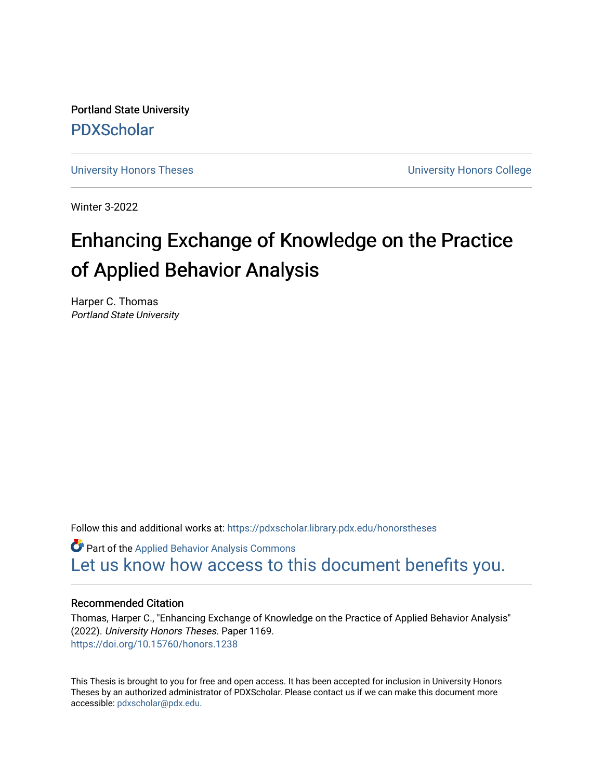Portland State University [PDXScholar](https://pdxscholar.library.pdx.edu/)

[University Honors Theses](https://pdxscholar.library.pdx.edu/honorstheses) **University Honors College** 

Winter 3-2022

# Enhancing Exchange of Knowledge on the Practice of Applied Behavior Analysis

Harper C. Thomas Portland State University

Follow this and additional works at: [https://pdxscholar.library.pdx.edu/honorstheses](https://pdxscholar.library.pdx.edu/honorstheses?utm_source=pdxscholar.library.pdx.edu%2Fhonorstheses%2F1169&utm_medium=PDF&utm_campaign=PDFCoverPages) 

Part of the [Applied Behavior Analysis Commons](https://network.bepress.com/hgg/discipline/1235?utm_source=pdxscholar.library.pdx.edu%2Fhonorstheses%2F1169&utm_medium=PDF&utm_campaign=PDFCoverPages) [Let us know how access to this document benefits you.](http://library.pdx.edu/services/pdxscholar-services/pdxscholar-feedback/) 

# Recommended Citation

Thomas, Harper C., "Enhancing Exchange of Knowledge on the Practice of Applied Behavior Analysis" (2022). University Honors Theses. Paper 1169. <https://doi.org/10.15760/honors.1238>

This Thesis is brought to you for free and open access. It has been accepted for inclusion in University Honors Theses by an authorized administrator of PDXScholar. Please contact us if we can make this document more accessible: [pdxscholar@pdx.edu.](mailto:pdxscholar@pdx.edu)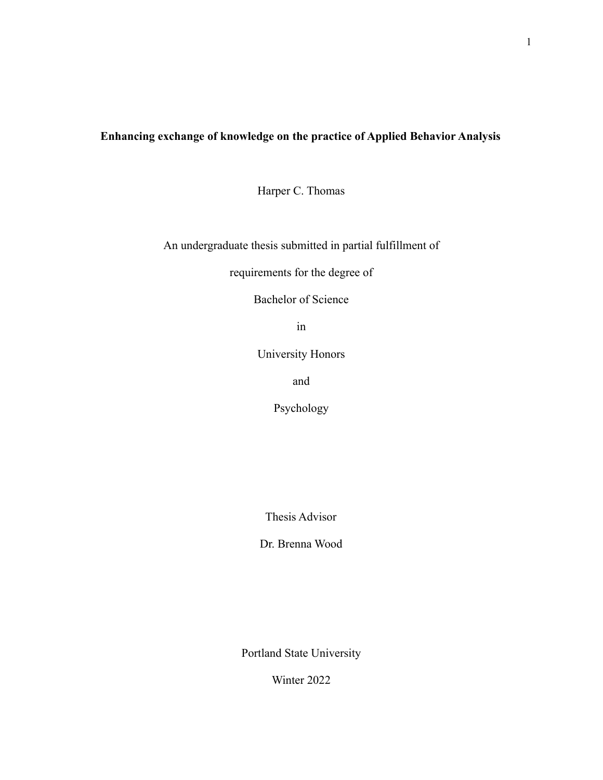# **Enhancing exchange of knowledge on the practice of Applied Behavior Analysis**

Harper C. Thomas

An undergraduate thesis submitted in partial fulfillment of

requirements for the degree of

Bachelor of Science

in

University Honors

and

Psychology

Thesis Advisor

Dr. Brenna Wood

Portland State University

Winter 2022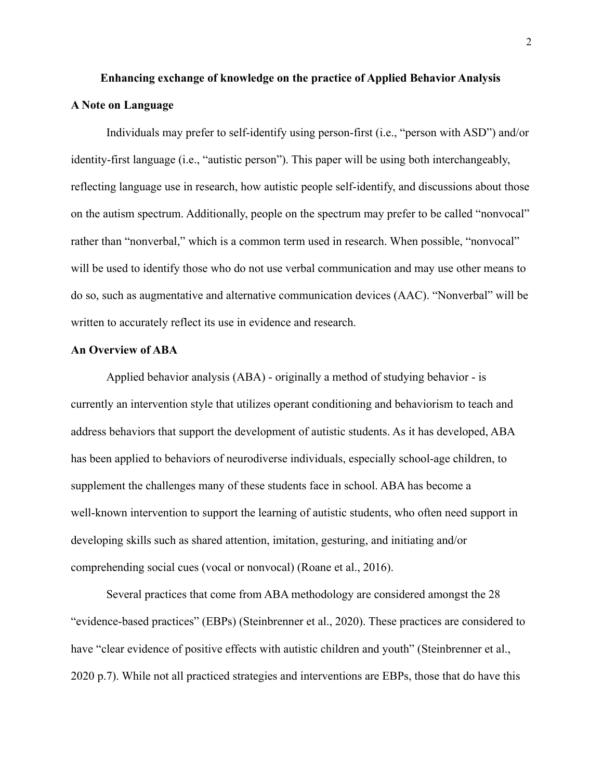# **Enhancing exchange of knowledge on the practice of Applied Behavior Analysis A Note on Language**

Individuals may prefer to self-identify using person-first (i.e., "person with ASD") and/or identity-first language (i.e., "autistic person"). This paper will be using both interchangeably, reflecting language use in research, how autistic people self-identify, and discussions about those on the autism spectrum. Additionally, people on the spectrum may prefer to be called "nonvocal" rather than "nonverbal," which is a common term used in research. When possible, "nonvocal" will be used to identify those who do not use verbal communication and may use other means to do so, such as augmentative and alternative communication devices (AAC). "Nonverbal" will be written to accurately reflect its use in evidence and research.

# **An Overview of ABA**

Applied behavior analysis (ABA) - originally a method of studying behavior - is currently an intervention style that utilizes operant conditioning and behaviorism to teach and address behaviors that support the development of autistic students. As it has developed, ABA has been applied to behaviors of neurodiverse individuals, especially school-age children, to supplement the challenges many of these students face in school. ABA has become a well-known intervention to support the learning of autistic students, who often need support in developing skills such as shared attention, imitation, gesturing, and initiating and/or comprehending social cues (vocal or nonvocal) (Roane et al., 2016).

Several practices that come from ABA methodology are considered amongst the 28 "evidence-based practices" (EBPs) (Steinbrenner et al., 2020). These practices are considered to have "clear evidence of positive effects with autistic children and youth" (Steinbrenner et al., 2020 p.7). While not all practiced strategies and interventions are EBPs, those that do have this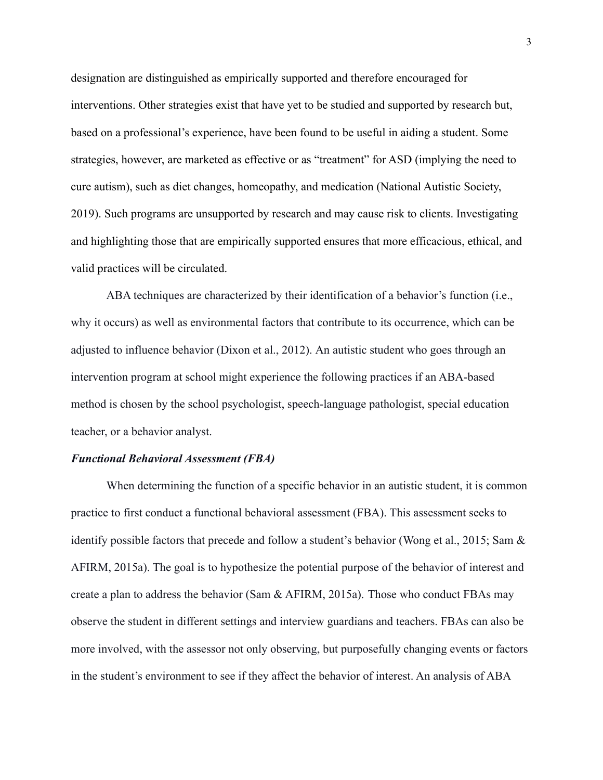designation are distinguished as empirically supported and therefore encouraged for interventions. Other strategies exist that have yet to be studied and supported by research but, based on a professional's experience, have been found to be useful in aiding a student. Some strategies, however, are marketed as effective or as "treatment" for ASD (implying the need to cure autism), such as diet changes, homeopathy, and medication (National Autistic Society, 2019). Such programs are unsupported by research and may cause risk to clients. Investigating and highlighting those that are empirically supported ensures that more efficacious, ethical, and valid practices will be circulated.

ABA techniques are characterized by their identification of a behavior's function (i.e., why it occurs) as well as environmental factors that contribute to its occurrence, which can be adjusted to influence behavior (Dixon et al., 2012). An autistic student who goes through an intervention program at school might experience the following practices if an ABA-based method is chosen by the school psychologist, speech-language pathologist, special education teacher, or a behavior analyst.

## *Functional Behavioral Assessment (FBA)*

When determining the function of a specific behavior in an autistic student, it is common practice to first conduct a functional behavioral assessment (FBA). This assessment seeks to identify possible factors that precede and follow a student's behavior (Wong et al., 2015; Sam & AFIRM, 2015a). The goal is to hypothesize the potential purpose of the behavior of interest and create a plan to address the behavior (Sam & AFIRM, 2015a). Those who conduct FBAs may observe the student in different settings and interview guardians and teachers. FBAs can also be more involved, with the assessor not only observing, but purposefully changing events or factors in the student's environment to see if they affect the behavior of interest. An analysis of ABA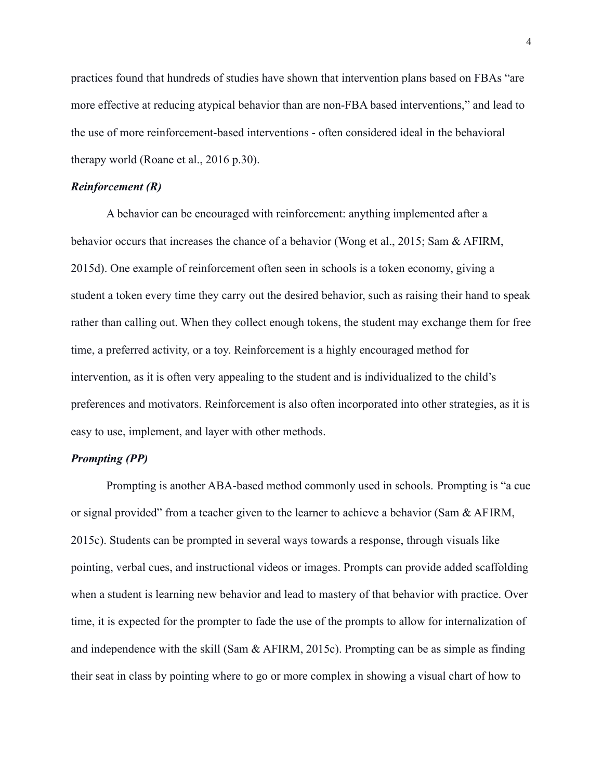practices found that hundreds of studies have shown that intervention plans based on FBAs "are more effective at reducing atypical behavior than are non-FBA based interventions," and lead to the use of more reinforcement-based interventions - often considered ideal in the behavioral therapy world (Roane et al., 2016 p.30).

#### *Reinforcement (R)*

A behavior can be encouraged with reinforcement: anything implemented after a behavior occurs that increases the chance of a behavior (Wong et al., 2015; Sam & AFIRM, 2015d). One example of reinforcement often seen in schools is a token economy, giving a student a token every time they carry out the desired behavior, such as raising their hand to speak rather than calling out. When they collect enough tokens, the student may exchange them for free time, a preferred activity, or a toy. Reinforcement is a highly encouraged method for intervention, as it is often very appealing to the student and is individualized to the child's preferences and motivators. Reinforcement is also often incorporated into other strategies, as it is easy to use, implement, and layer with other methods.

# *Prompting (PP)*

Prompting is another ABA-based method commonly used in schools. Prompting is "a cue or signal provided" from a teacher given to the learner to achieve a behavior (Sam  $\&$  AFIRM, 2015c). Students can be prompted in several ways towards a response, through visuals like pointing, verbal cues, and instructional videos or images. Prompts can provide added scaffolding when a student is learning new behavior and lead to mastery of that behavior with practice. Over time, it is expected for the prompter to fade the use of the prompts to allow for internalization of and independence with the skill (Sam & AFIRM, 2015c). Prompting can be as simple as finding their seat in class by pointing where to go or more complex in showing a visual chart of how to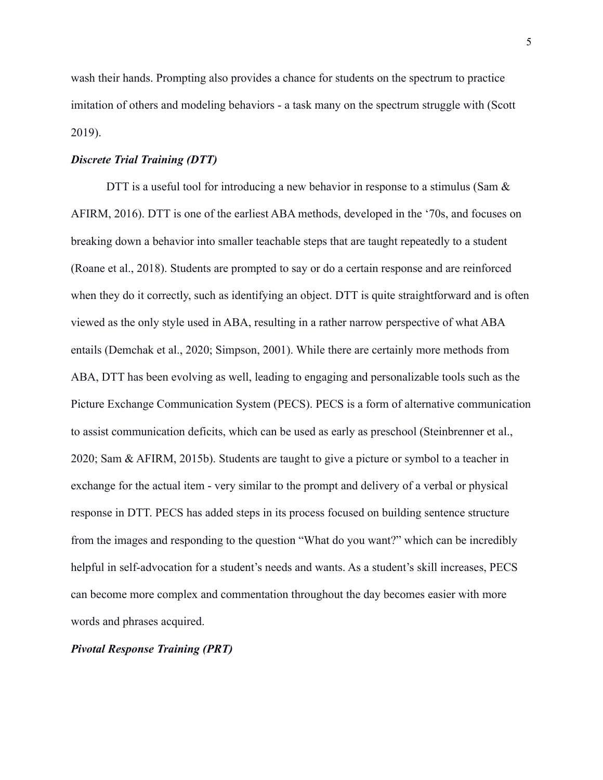wash their hands. Prompting also provides a chance for students on the spectrum to practice imitation of others and modeling behaviors - a task many on the spectrum struggle with (Scott 2019).

# *Discrete Trial Training (DTT)*

DTT is a useful tool for introducing a new behavior in response to a stimulus (Sam  $\&$ AFIRM, 2016). DTT is one of the earliest ABA methods, developed in the '70s, and focuses on breaking down a behavior into smaller teachable steps that are taught repeatedly to a student (Roane et al., 2018). Students are prompted to say or do a certain response and are reinforced when they do it correctly, such as identifying an object. DTT is quite straightforward and is often viewed as the only style used in ABA, resulting in a rather narrow perspective of what ABA entails (Demchak et al., 2020; Simpson, 2001). While there are certainly more methods from ABA, DTT has been evolving as well, leading to engaging and personalizable tools such as the Picture Exchange Communication System (PECS). PECS is a form of alternative communication to assist communication deficits, which can be used as early as preschool (Steinbrenner et al., 2020; Sam & AFIRM, 2015b). Students are taught to give a picture or symbol to a teacher in exchange for the actual item - very similar to the prompt and delivery of a verbal or physical response in DTT. PECS has added steps in its process focused on building sentence structure from the images and responding to the question "What do you want?" which can be incredibly helpful in self-advocation for a student's needs and wants. As a student's skill increases, PECS can become more complex and commentation throughout the day becomes easier with more words and phrases acquired.

#### *Pivotal Response Training (PRT)*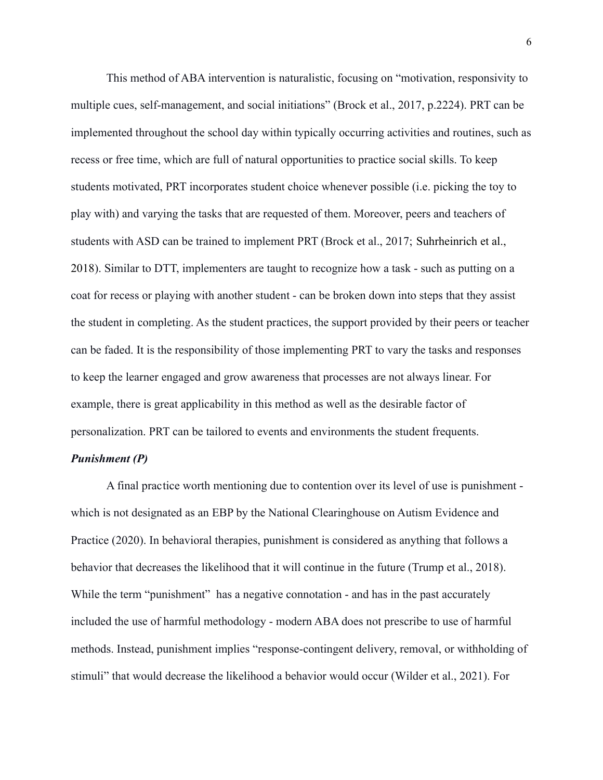This method of ABA intervention is naturalistic, focusing on "motivation, responsivity to multiple cues, self-management, and social initiations" (Brock et al., 2017, p.2224). PRT can be implemented throughout the school day within typically occurring activities and routines, such as recess or free time, which are full of natural opportunities to practice social skills. To keep students motivated, PRT incorporates student choice whenever possible (i.e. picking the toy to play with) and varying the tasks that are requested of them. Moreover, peers and teachers of students with ASD can be trained to implement PRT (Brock et al., 2017; Suhrheinrich et al., 2018). Similar to DTT, implementers are taught to recognize how a task - such as putting on a coat for recess or playing with another student - can be broken down into steps that they assist the student in completing. As the student practices, the support provided by their peers or teacher can be faded. It is the responsibility of those implementing PRT to vary the tasks and responses to keep the learner engaged and grow awareness that processes are not always linear. For example, there is great applicability in this method as well as the desirable factor of personalization. PRT can be tailored to events and environments the student frequents.

# *Punishment (P)*

A final practice worth mentioning due to contention over its level of use is punishment which is not designated as an EBP by the National Clearinghouse on Autism Evidence and Practice (2020). In behavioral therapies, punishment is considered as anything that follows a behavior that decreases the likelihood that it will continue in the future (Trump et al., 2018). While the term "punishment" has a negative connotation - and has in the past accurately included the use of harmful methodology - modern ABA does not prescribe to use of harmful methods. Instead, punishment implies "response-contingent delivery, removal, or withholding of stimuli" that would decrease the likelihood a behavior would occur (Wilder et al., 2021). For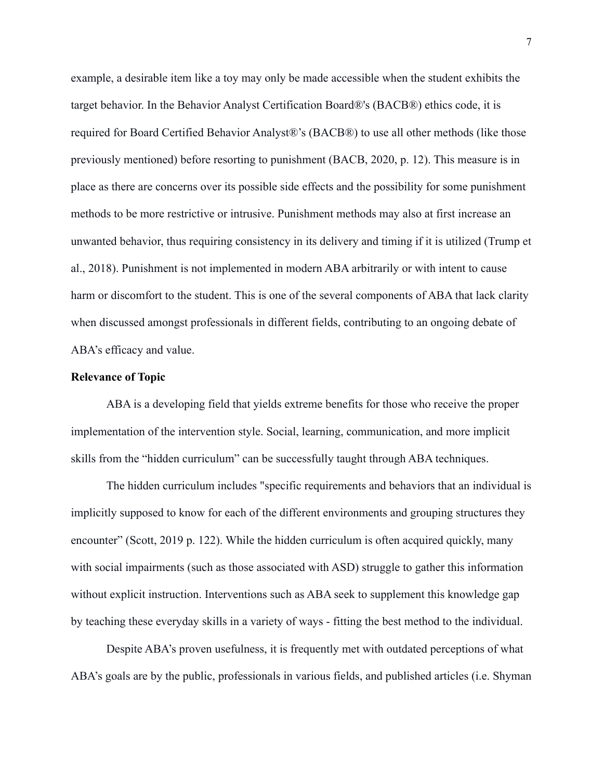example, a desirable item like a toy may only be made accessible when the student exhibits the target behavior. In the Behavior Analyst Certification Board®'s (BACB®) ethics code, it is required for Board Certified Behavior Analyst®'s (BACB®) to use all other methods (like those previously mentioned) before resorting to punishment (BACB, 2020, p. 12). This measure is in place as there are concerns over its possible side effects and the possibility for some punishment methods to be more restrictive or intrusive. Punishment methods may also at first increase an unwanted behavior, thus requiring consistency in its delivery and timing if it is utilized (Trump et al., 2018). Punishment is not implemented in modern ABA arbitrarily or with intent to cause harm or discomfort to the student. This is one of the several components of ABA that lack clarity when discussed amongst professionals in different fields, contributing to an ongoing debate of ABA's efficacy and value.

# **Relevance of Topic**

ABA is a developing field that yields extreme benefits for those who receive the proper implementation of the intervention style. Social, learning, communication, and more implicit skills from the "hidden curriculum" can be successfully taught through ABA techniques.

The hidden curriculum includes "specific requirements and behaviors that an individual is implicitly supposed to know for each of the different environments and grouping structures they encounter" (Scott, 2019 p. 122). While the hidden curriculum is often acquired quickly, many with social impairments (such as those associated with ASD) struggle to gather this information without explicit instruction. Interventions such as ABA seek to supplement this knowledge gap by teaching these everyday skills in a variety of ways - fitting the best method to the individual.

Despite ABA's proven usefulness, it is frequently met with outdated perceptions of what ABA's goals are by the public, professionals in various fields, and published articles (i.e. Shyman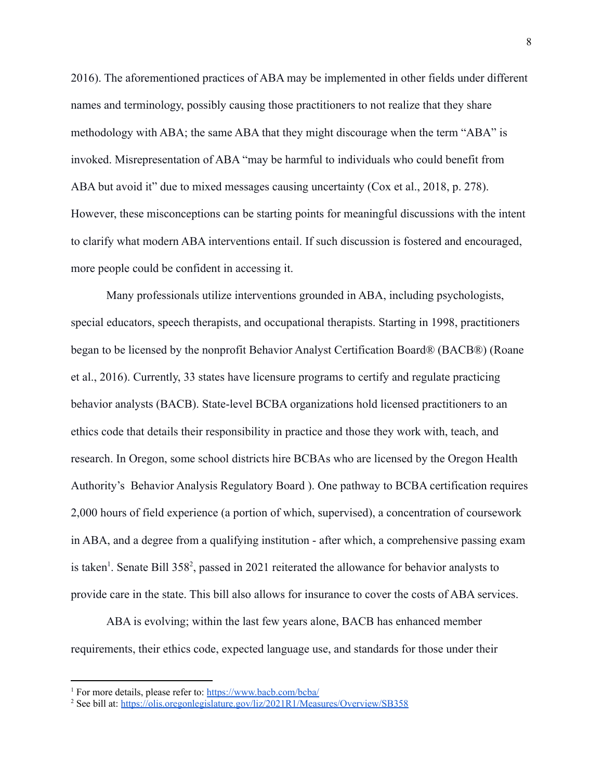2016). The aforementioned practices of ABA may be implemented in other fields under different names and terminology, possibly causing those practitioners to not realize that they share methodology with ABA; the same ABA that they might discourage when the term "ABA" is invoked. Misrepresentation of ABA "may be harmful to individuals who could benefit from ABA but avoid it" due to mixed messages causing uncertainty (Cox et al., 2018, p. 278). However, these misconceptions can be starting points for meaningful discussions with the intent to clarify what modern ABA interventions entail. If such discussion is fostered and encouraged, more people could be confident in accessing it.

Many professionals utilize interventions grounded in ABA, including psychologists, special educators, speech therapists, and occupational therapists. Starting in 1998, practitioners began to be licensed by the nonprofit Behavior Analyst Certification Board® (BACB®) (Roane et al., 2016). Currently, 33 states have licensure programs to certify and regulate practicing behavior analysts (BACB). State-level BCBA organizations hold licensed practitioners to an ethics code that details their responsibility in practice and those they work with, teach, and research. In Oregon, some school districts hire BCBAs who are licensed by the Oregon Health Authority's Behavior Analysis Regulatory Board ). One pathway to BCBA certification requires 2,000 hours of field experience (a portion of which, supervised), a concentration of coursework in ABA, and a degree from a qualifying institution - after which, a comprehensive passing exam is taken<sup>1</sup>. Senate Bill 358<sup>2</sup>, passed in 2021 reiterated the allowance for behavior analysts to provide care in the state. This bill also allows for insurance to cover the costs of ABA services.

ABA is evolving; within the last few years alone, BACB has enhanced member requirements, their ethics code, expected language use, and standards for those under their

<sup>&</sup>lt;sup>1</sup> For more details, please refer to: <https://www.bacb.com/bcba/>

<sup>&</sup>lt;sup>2</sup> See bill at: <https://olis.oregonlegislature.gov/liz/2021R1/Measures/Overview/SB358>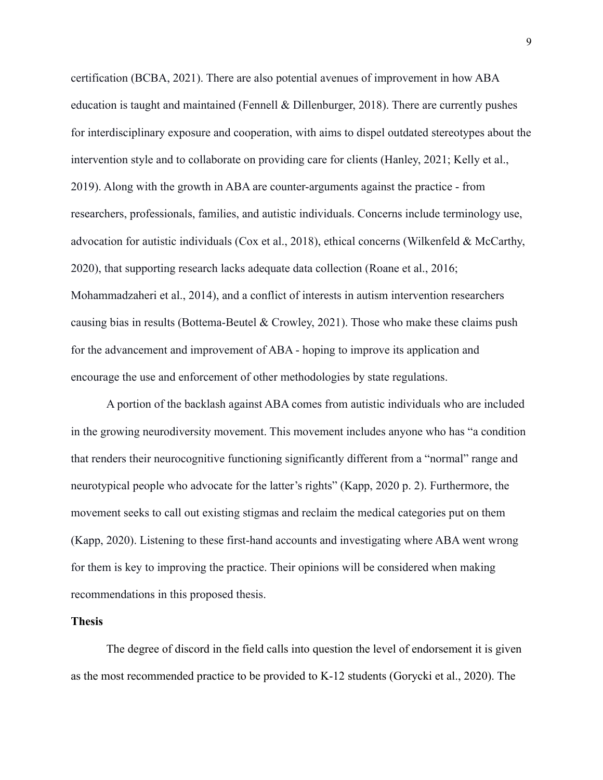certification (BCBA, 2021). There are also potential avenues of improvement in how ABA education is taught and maintained (Fennell & Dillenburger, 2018). There are currently pushes for interdisciplinary exposure and cooperation, with aims to dispel outdated stereotypes about the intervention style and to collaborate on providing care for clients (Hanley, 2021; Kelly et al., 2019). Along with the growth in ABA are counter-arguments against the practice - from researchers, professionals, families, and autistic individuals. Concerns include terminology use, advocation for autistic individuals (Cox et al., 2018), ethical concerns (Wilkenfeld & McCarthy, 2020), that supporting research lacks adequate data collection (Roane et al., 2016; Mohammadzaheri et al., 2014), and a conflict of interests in autism intervention researchers causing bias in results (Bottema-Beutel & Crowley, 2021). Those who make these claims push for the advancement and improvement of ABA - hoping to improve its application and encourage the use and enforcement of other methodologies by state regulations.

A portion of the backlash against ABA comes from autistic individuals who are included in the growing neurodiversity movement. This movement includes anyone who has "a condition that renders their neurocognitive functioning significantly different from a "normal" range and neurotypical people who advocate for the latter's rights" (Kapp, 2020 p. 2). Furthermore, the movement seeks to call out existing stigmas and reclaim the medical categories put on them (Kapp, 2020). Listening to these first-hand accounts and investigating where ABA went wrong for them is key to improving the practice. Their opinions will be considered when making recommendations in this proposed thesis.

#### **Thesis**

The degree of discord in the field calls into question the level of endorsement it is given as the most recommended practice to be provided to K-12 students (Gorycki et al., 2020). The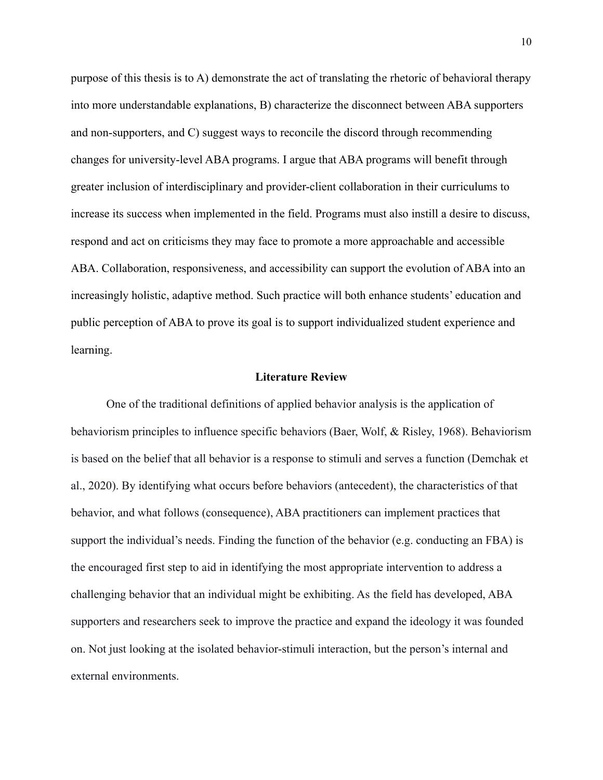purpose of this thesis is to A) demonstrate the act of translating the rhetoric of behavioral therapy into more understandable explanations, B) characterize the disconnect between ABA supporters and non-supporters, and C) suggest ways to reconcile the discord through recommending changes for university-level ABA programs. I argue that ABA programs will benefit through greater inclusion of interdisciplinary and provider-client collaboration in their curriculums to increase its success when implemented in the field. Programs must also instill a desire to discuss, respond and act on criticisms they may face to promote a more approachable and accessible ABA. Collaboration, responsiveness, and accessibility can support the evolution of ABA into an increasingly holistic, adaptive method. Such practice will both enhance students' education and public perception of ABA to prove its goal is to support individualized student experience and learning.

#### **Literature Review**

One of the traditional definitions of applied behavior analysis is the application of behaviorism principles to influence specific behaviors (Baer, Wolf, & Risley, 1968). Behaviorism is based on the belief that all behavior is a response to stimuli and serves a function (Demchak et al., 2020). By identifying what occurs before behaviors (antecedent), the characteristics of that behavior, and what follows (consequence), ABA practitioners can implement practices that support the individual's needs. Finding the function of the behavior (e.g. conducting an FBA) is the encouraged first step to aid in identifying the most appropriate intervention to address a challenging behavior that an individual might be exhibiting. As the field has developed, ABA supporters and researchers seek to improve the practice and expand the ideology it was founded on. Not just looking at the isolated behavior-stimuli interaction, but the person's internal and external environments.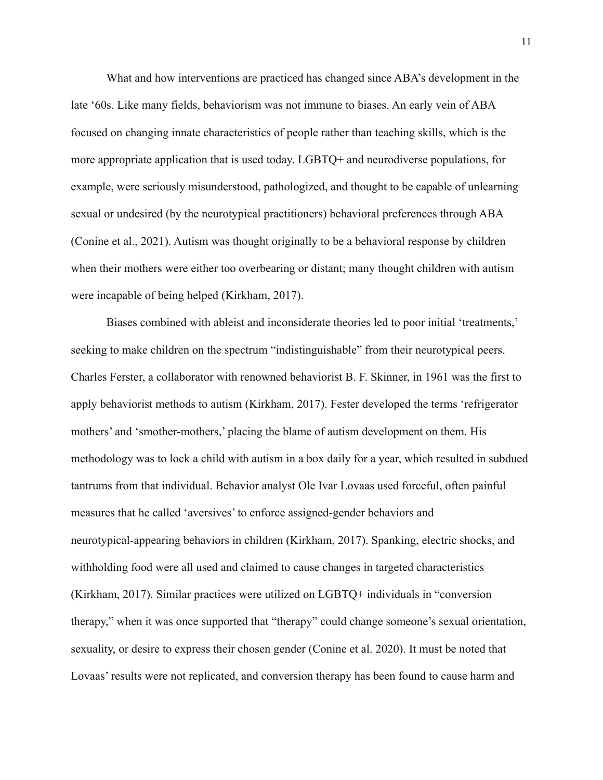What and how interventions are practiced has changed since ABA's development in the late '60s. Like many fields, behaviorism was not immune to biases. An early vein of ABA focused on changing innate characteristics of people rather than teaching skills, which is the more appropriate application that is used today. LGBTQ+ and neurodiverse populations, for example, were seriously misunderstood, pathologized, and thought to be capable of unlearning sexual or undesired (by the neurotypical practitioners) behavioral preferences through ABA (Conine et al., 2021). Autism was thought originally to be a behavioral response by children when their mothers were either too overbearing or distant; many thought children with autism were incapable of being helped (Kirkham, 2017).

Biases combined with ableist and inconsiderate theories led to poor initial 'treatments,' seeking to make children on the spectrum "indistinguishable" from their neurotypical peers. Charles Ferster, a collaborator with renowned behaviorist B. F. Skinner, in 1961 was the first to apply behaviorist methods to autism (Kirkham, 2017). Fester developed the terms 'refrigerator mothers' and 'smother-mothers,' placing the blame of autism development on them. His methodology was to lock a child with autism in a box daily for a year, which resulted in subdued tantrums from that individual. Behavior analyst Ole Ivar Lovaas used forceful, often painful measures that he called 'aversives' to enforce assigned-gender behaviors and neurotypical-appearing behaviors in children (Kirkham, 2017). Spanking, electric shocks, and withholding food were all used and claimed to cause changes in targeted characteristics (Kirkham, 2017). Similar practices were utilized on LGBTQ+ individuals in "conversion therapy," when it was once supported that "therapy" could change someone's sexual orientation, sexuality, or desire to express their chosen gender (Conine et al. 2020). It must be noted that Lovaas' results were not replicated, and conversion therapy has been found to cause harm and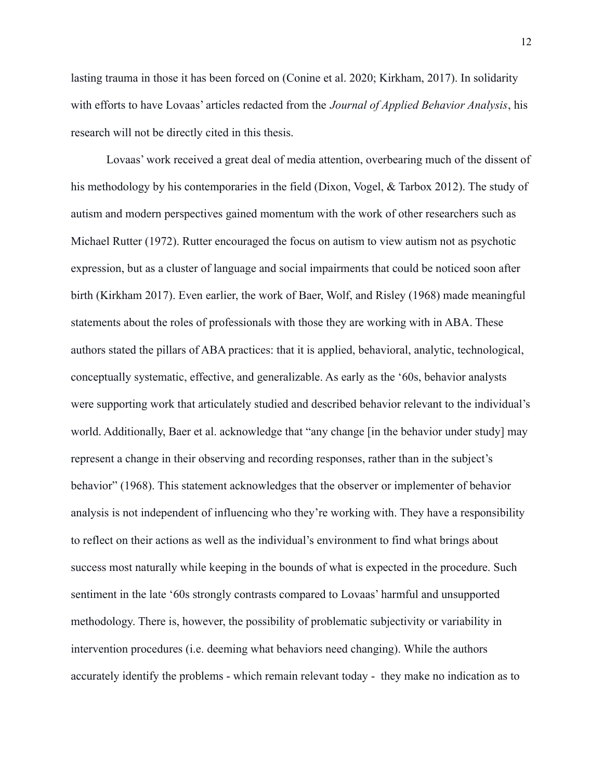lasting trauma in those it has been forced on (Conine et al. 2020; Kirkham, 2017). In solidarity with efforts to have Lovaas' articles redacted from the *Journal of Applied Behavior Analysis*, his research will not be directly cited in this thesis.

Lovaas' work received a great deal of media attention, overbearing much of the dissent of his methodology by his contemporaries in the field (Dixon, Vogel, & Tarbox 2012). The study of autism and modern perspectives gained momentum with the work of other researchers such as Michael Rutter (1972). Rutter encouraged the focus on autism to view autism not as psychotic expression, but as a cluster of language and social impairments that could be noticed soon after birth (Kirkham 2017). Even earlier, the work of Baer, Wolf, and Risley (1968) made meaningful statements about the roles of professionals with those they are working with in ABA. These authors stated the pillars of ABA practices: that it is applied, behavioral, analytic, technological, conceptually systematic, effective, and generalizable. As early as the '60s, behavior analysts were supporting work that articulately studied and described behavior relevant to the individual's world. Additionally, Baer et al. acknowledge that "any change [in the behavior under study] may represent a change in their observing and recording responses, rather than in the subject's behavior" (1968). This statement acknowledges that the observer or implementer of behavior analysis is not independent of influencing who they're working with. They have a responsibility to reflect on their actions as well as the individual's environment to find what brings about success most naturally while keeping in the bounds of what is expected in the procedure. Such sentiment in the late '60s strongly contrasts compared to Lovaas' harmful and unsupported methodology. There is, however, the possibility of problematic subjectivity or variability in intervention procedures (i.e. deeming what behaviors need changing). While the authors accurately identify the problems - which remain relevant today - they make no indication as to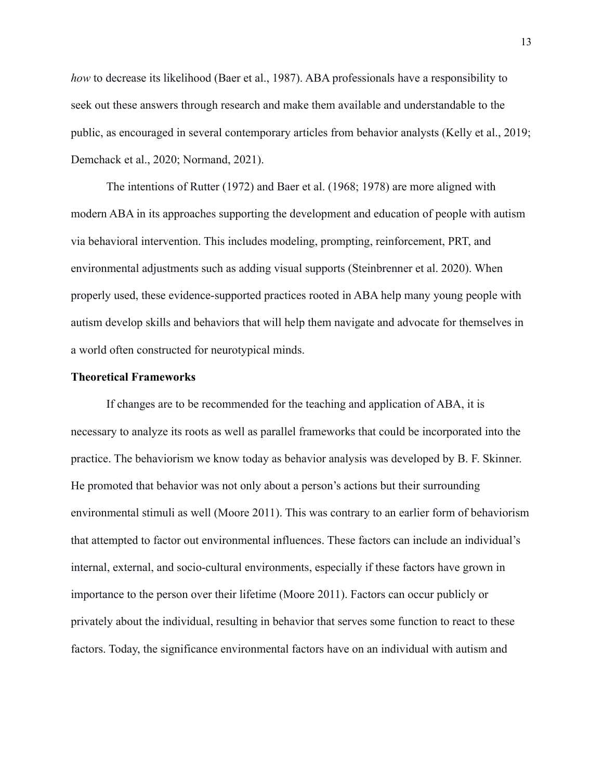*how* to decrease its likelihood (Baer et al., 1987). ABA professionals have a responsibility to seek out these answers through research and make them available and understandable to the public, as encouraged in several contemporary articles from behavior analysts (Kelly et al., 2019; Demchack et al., 2020; Normand, 2021).

The intentions of Rutter (1972) and Baer et al. (1968; 1978) are more aligned with modern ABA in its approaches supporting the development and education of people with autism via behavioral intervention. This includes modeling, prompting, reinforcement, PRT, and environmental adjustments such as adding visual supports (Steinbrenner et al. 2020). When properly used, these evidence-supported practices rooted in ABA help many young people with autism develop skills and behaviors that will help them navigate and advocate for themselves in a world often constructed for neurotypical minds.

#### **Theoretical Frameworks**

If changes are to be recommended for the teaching and application of ABA, it is necessary to analyze its roots as well as parallel frameworks that could be incorporated into the practice. The behaviorism we know today as behavior analysis was developed by B. F. Skinner. He promoted that behavior was not only about a person's actions but their surrounding environmental stimuli as well (Moore 2011). This was contrary to an earlier form of behaviorism that attempted to factor out environmental influences. These factors can include an individual's internal, external, and socio-cultural environments, especially if these factors have grown in importance to the person over their lifetime (Moore 2011). Factors can occur publicly or privately about the individual, resulting in behavior that serves some function to react to these factors. Today, the significance environmental factors have on an individual with autism and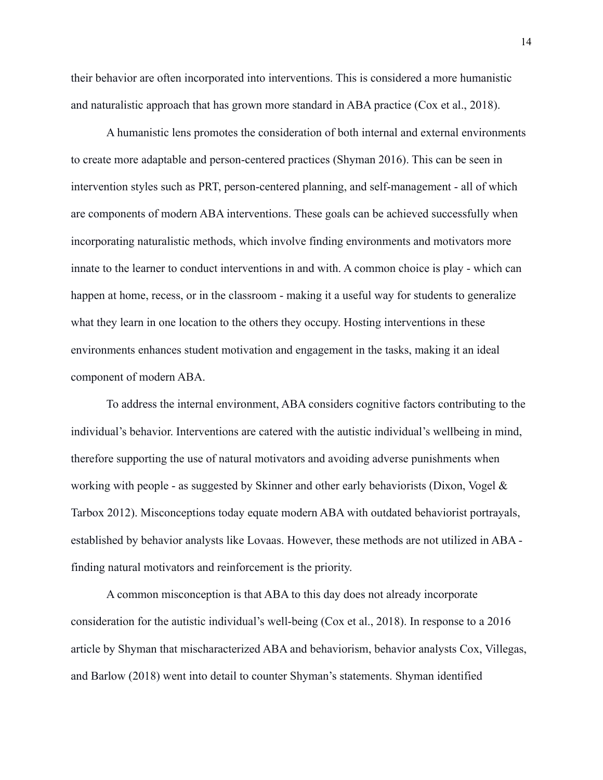their behavior are often incorporated into interventions. This is considered a more humanistic and naturalistic approach that has grown more standard in ABA practice (Cox et al., 2018).

A humanistic lens promotes the consideration of both internal and external environments to create more adaptable and person-centered practices (Shyman 2016). This can be seen in intervention styles such as PRT, person-centered planning, and self-management - all of which are components of modern ABA interventions. These goals can be achieved successfully when incorporating naturalistic methods, which involve finding environments and motivators more innate to the learner to conduct interventions in and with. A common choice is play - which can happen at home, recess, or in the classroom - making it a useful way for students to generalize what they learn in one location to the others they occupy. Hosting interventions in these environments enhances student motivation and engagement in the tasks, making it an ideal component of modern ABA.

To address the internal environment, ABA considers cognitive factors contributing to the individual's behavior. Interventions are catered with the autistic individual's wellbeing in mind, therefore supporting the use of natural motivators and avoiding adverse punishments when working with people - as suggested by Skinner and other early behaviorists (Dixon, Vogel  $\&$ Tarbox 2012). Misconceptions today equate modern ABA with outdated behaviorist portrayals, established by behavior analysts like Lovaas. However, these methods are not utilized in ABA finding natural motivators and reinforcement is the priority.

A common misconception is that ABA to this day does not already incorporate consideration for the autistic individual's well-being (Cox et al., 2018). In response to a 2016 article by Shyman that mischaracterized ABA and behaviorism, behavior analysts Cox, Villegas, and Barlow (2018) went into detail to counter Shyman's statements. Shyman identified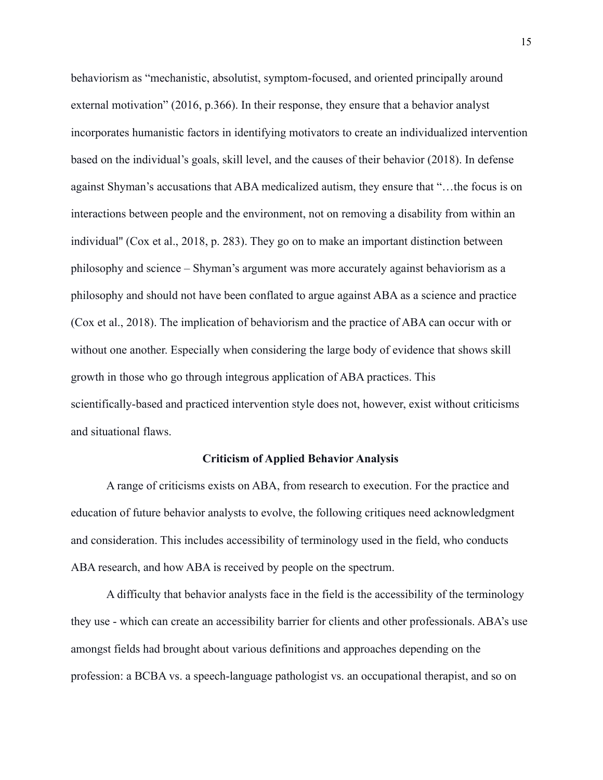behaviorism as "mechanistic, absolutist, symptom-focused, and oriented principally around external motivation" (2016, p.366). In their response, they ensure that a behavior analyst incorporates humanistic factors in identifying motivators to create an individualized intervention based on the individual's goals, skill level, and the causes of their behavior (2018). In defense against Shyman's accusations that ABA medicalized autism, they ensure that "…the focus is on interactions between people and the environment, not on removing a disability from within an individual'' (Cox et al., 2018, p. 283). They go on to make an important distinction between philosophy and science – Shyman's argument was more accurately against behaviorism as a philosophy and should not have been conflated to argue against ABA as a science and practice (Cox et al., 2018). The implication of behaviorism and the practice of ABA can occur with or without one another. Especially when considering the large body of evidence that shows skill growth in those who go through integrous application of ABA practices. This scientifically-based and practiced intervention style does not, however, exist without criticisms and situational flaws.

# **Criticism of Applied Behavior Analysis**

A range of criticisms exists on ABA, from research to execution. For the practice and education of future behavior analysts to evolve, the following critiques need acknowledgment and consideration. This includes accessibility of terminology used in the field, who conducts ABA research, and how ABA is received by people on the spectrum.

A difficulty that behavior analysts face in the field is the accessibility of the terminology they use - which can create an accessibility barrier for clients and other professionals. ABA's use amongst fields had brought about various definitions and approaches depending on the profession: a BCBA vs. a speech-language pathologist vs. an occupational therapist, and so on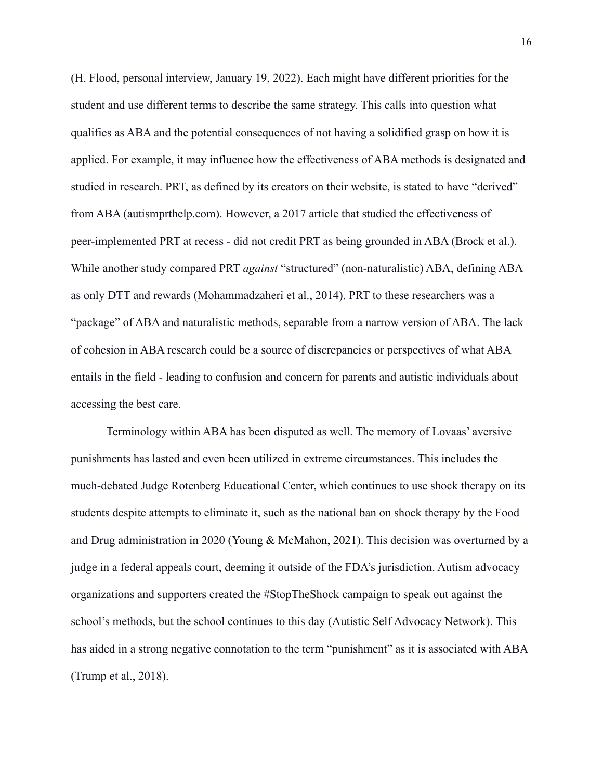(H. Flood, personal interview, January 19, 2022). Each might have different priorities for the student and use different terms to describe the same strategy. This calls into question what qualifies as ABA and the potential consequences of not having a solidified grasp on how it is applied. For example, it may influence how the effectiveness of ABA methods is designated and studied in research. PRT, as defined by its creators on their website, is stated to have "derived" from ABA (autismprthelp.com). However, a 2017 article that studied the effectiveness of peer-implemented PRT at recess - did not credit PRT as being grounded in ABA (Brock et al.). While another study compared PRT *against* "structured" (non-naturalistic) ABA, defining ABA as only DTT and rewards (Mohammadzaheri et al., 2014). PRT to these researchers was a "package" of ABA and naturalistic methods, separable from a narrow version of ABA. The lack of cohesion in ABA research could be a source of discrepancies or perspectives of what ABA entails in the field - leading to confusion and concern for parents and autistic individuals about accessing the best care.

Terminology within ABA has been disputed as well. The memory of Lovaas' aversive punishments has lasted and even been utilized in extreme circumstances. This includes the much-debated Judge Rotenberg Educational Center, which continues to use shock therapy on its students despite attempts to eliminate it, such as the national ban on shock therapy by the Food and Drug administration in 2020 (Young & McMahon, 2021). This decision was overturned by a judge in a federal appeals court, deeming it outside of the FDA's jurisdiction. Autism advocacy organizations and supporters created the #StopTheShock campaign to speak out against the school's methods, but the school continues to this day (Autistic Self Advocacy Network). This has aided in a strong negative connotation to the term "punishment" as it is associated with ABA (Trump et al., 2018).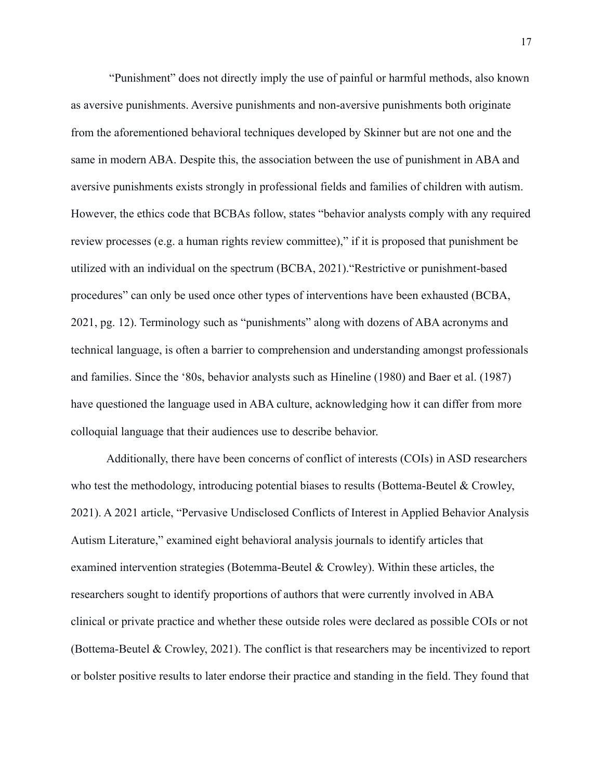"Punishment" does not directly imply the use of painful or harmful methods, also known as aversive punishments. Aversive punishments and non-aversive punishments both originate from the aforementioned behavioral techniques developed by Skinner but are not one and the same in modern ABA. Despite this, the association between the use of punishment in ABA and aversive punishments exists strongly in professional fields and families of children with autism. However, the ethics code that BCBAs follow, states "behavior analysts comply with any required review processes (e.g. a human rights review committee)," if it is proposed that punishment be utilized with an individual on the spectrum (BCBA, 2021)."Restrictive or punishment-based procedures" can only be used once other types of interventions have been exhausted (BCBA, 2021, pg. 12). Terminology such as "punishments" along with dozens of ABA acronyms and technical language, is often a barrier to comprehension and understanding amongst professionals and families. Since the '80s, behavior analysts such as Hineline (1980) and Baer et al. (1987) have questioned the language used in ABA culture, acknowledging how it can differ from more colloquial language that their audiences use to describe behavior.

Additionally, there have been concerns of conflict of interests (COIs) in ASD researchers who test the methodology, introducing potential biases to results (Bottema-Beutel  $\&$  Crowley, 2021). A 2021 article, "Pervasive Undisclosed Conflicts of Interest in Applied Behavior Analysis Autism Literature," examined eight behavioral analysis journals to identify articles that examined intervention strategies (Botemma-Beutel & Crowley). Within these articles, the researchers sought to identify proportions of authors that were currently involved in ABA clinical or private practice and whether these outside roles were declared as possible COIs or not (Bottema-Beutel & Crowley, 2021). The conflict is that researchers may be incentivized to report or bolster positive results to later endorse their practice and standing in the field. They found that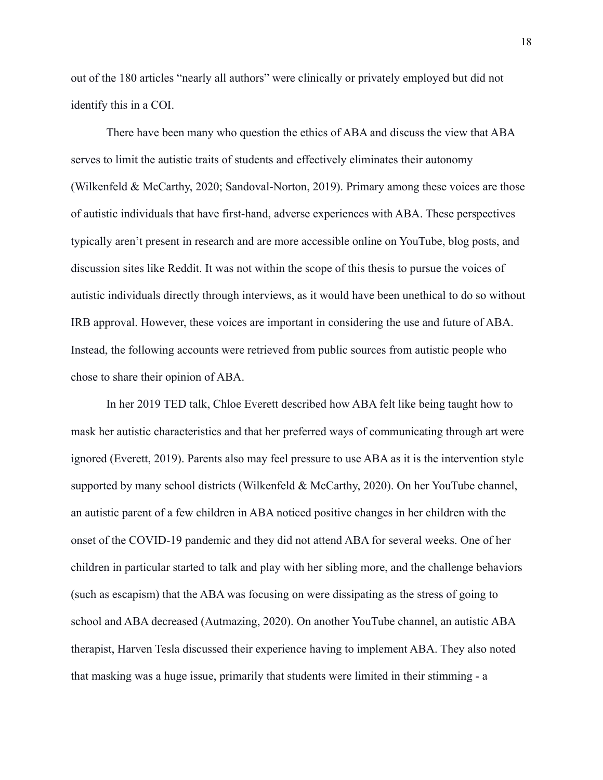out of the 180 articles "nearly all authors" were clinically or privately employed but did not identify this in a COI.

There have been many who question the ethics of ABA and discuss the view that ABA serves to limit the autistic traits of students and effectively eliminates their autonomy (Wilkenfeld & McCarthy, 2020; Sandoval-Norton, 2019). Primary among these voices are those of autistic individuals that have first-hand, adverse experiences with ABA. These perspectives typically aren't present in research and are more accessible online on YouTube, blog posts, and discussion sites like Reddit. It was not within the scope of this thesis to pursue the voices of autistic individuals directly through interviews, as it would have been unethical to do so without IRB approval. However, these voices are important in considering the use and future of ABA. Instead, the following accounts were retrieved from public sources from autistic people who chose to share their opinion of ABA.

In her 2019 TED talk, Chloe Everett described how ABA felt like being taught how to mask her autistic characteristics and that her preferred ways of communicating through art were ignored (Everett, 2019). Parents also may feel pressure to use ABA as it is the intervention style supported by many school districts (Wilkenfeld & McCarthy, 2020). On her YouTube channel, an autistic parent of a few children in ABA noticed positive changes in her children with the onset of the COVID-19 pandemic and they did not attend ABA for several weeks. One of her children in particular started to talk and play with her sibling more, and the challenge behaviors (such as escapism) that the ABA was focusing on were dissipating as the stress of going to school and ABA decreased (Autmazing, 2020). On another YouTube channel, an autistic ABA therapist, Harven Tesla discussed their experience having to implement ABA. They also noted that masking was a huge issue, primarily that students were limited in their stimming - a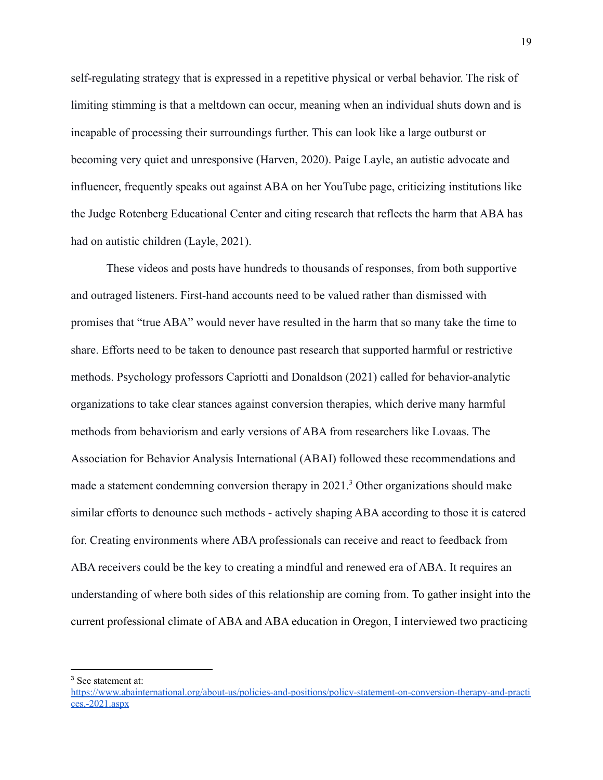self-regulating strategy that is expressed in a repetitive physical or verbal behavior. The risk of limiting stimming is that a meltdown can occur, meaning when an individual shuts down and is incapable of processing their surroundings further. This can look like a large outburst or becoming very quiet and unresponsive (Harven, 2020). Paige Layle, an autistic advocate and influencer, frequently speaks out against ABA on her YouTube page, criticizing institutions like the Judge Rotenberg Educational Center and citing research that reflects the harm that ABA has had on autistic children (Layle, 2021).

These videos and posts have hundreds to thousands of responses, from both supportive and outraged listeners. First-hand accounts need to be valued rather than dismissed with promises that "true ABA" would never have resulted in the harm that so many take the time to share. Efforts need to be taken to denounce past research that supported harmful or restrictive methods. Psychology professors Capriotti and Donaldson (2021) called for behavior-analytic organizations to take clear stances against conversion therapies, which derive many harmful methods from behaviorism and early versions of ABA from researchers like Lovaas. The Association for Behavior Analysis International (ABAI) followed these recommendations and made a statement condemning conversion therapy in 2021.<sup>3</sup> Other organizations should make similar efforts to denounce such methods - actively shaping ABA according to those it is catered for. Creating environments where ABA professionals can receive and react to feedback from ABA receivers could be the key to creating a mindful and renewed era of ABA. It requires an understanding of where both sides of this relationship are coming from. To gather insight into the current professional climate of ABA and ABA education in Oregon, I interviewed two practicing

<sup>3</sup> See statement at:

[https://www.abainternational.org/about-us/policies-and-positions/policy-statement-on-conversion-therapy-and-practi](https://www.abainternational.org/about-us/policies-and-positions/policy-statement-on-conversion-therapy-and-practices,-2021.aspx) [ces,-2021.aspx](https://www.abainternational.org/about-us/policies-and-positions/policy-statement-on-conversion-therapy-and-practices,-2021.aspx)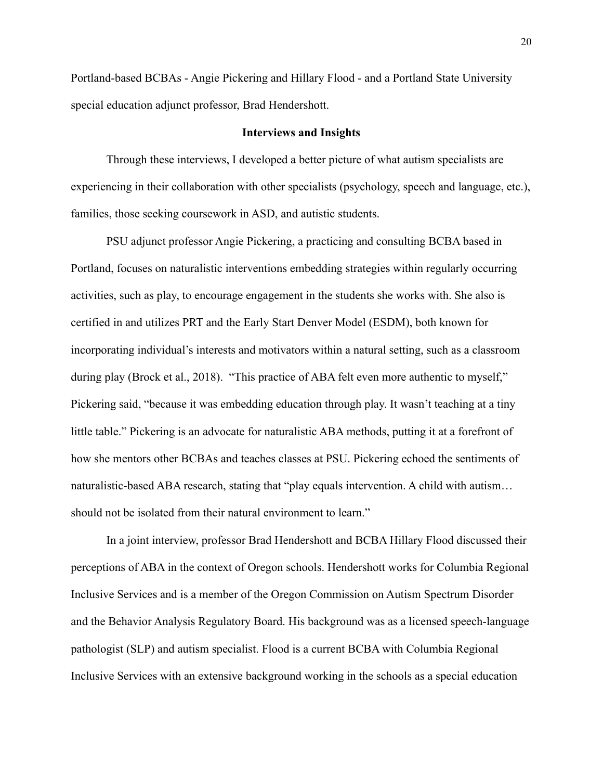Portland-based BCBAs - Angie Pickering and Hillary Flood - and a Portland State University special education adjunct professor, Brad Hendershott.

#### **Interviews and Insights**

Through these interviews, I developed a better picture of what autism specialists are experiencing in their collaboration with other specialists (psychology, speech and language, etc.), families, those seeking coursework in ASD, and autistic students.

PSU adjunct professor Angie Pickering, a practicing and consulting BCBA based in Portland, focuses on naturalistic interventions embedding strategies within regularly occurring activities, such as play, to encourage engagement in the students she works with. She also is certified in and utilizes PRT and the Early Start Denver Model (ESDM), both known for incorporating individual's interests and motivators within a natural setting, such as a classroom during play (Brock et al., 2018). "This practice of ABA felt even more authentic to myself," Pickering said, "because it was embedding education through play. It wasn't teaching at a tiny little table." Pickering is an advocate for naturalistic ABA methods, putting it at a forefront of how she mentors other BCBAs and teaches classes at PSU. Pickering echoed the sentiments of naturalistic-based ABA research, stating that "play equals intervention. A child with autism… should not be isolated from their natural environment to learn."

In a joint interview, professor Brad Hendershott and BCBA Hillary Flood discussed their perceptions of ABA in the context of Oregon schools. Hendershott works for Columbia Regional Inclusive Services and is a member of the Oregon Commission on Autism Spectrum Disorder and the Behavior Analysis Regulatory Board. His background was as a licensed speech-language pathologist (SLP) and autism specialist. Flood is a current BCBA with Columbia Regional Inclusive Services with an extensive background working in the schools as a special education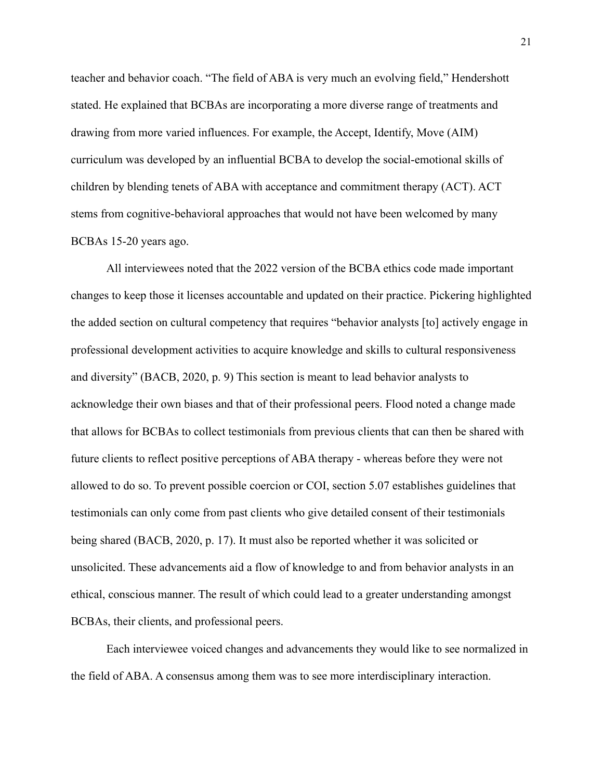teacher and behavior coach. "The field of ABA is very much an evolving field," Hendershott stated. He explained that BCBAs are incorporating a more diverse range of treatments and drawing from more varied influences. For example, the Accept, Identify, Move (AIM) curriculum was developed by an influential BCBA to develop the social-emotional skills of children by blending tenets of ABA with acceptance and commitment therapy (ACT). ACT stems from cognitive-behavioral approaches that would not have been welcomed by many BCBAs 15-20 years ago.

All interviewees noted that the 2022 version of the BCBA ethics code made important changes to keep those it licenses accountable and updated on their practice. Pickering highlighted the added section on cultural competency that requires "behavior analysts [to] actively engage in professional development activities to acquire knowledge and skills to cultural responsiveness and diversity" (BACB, 2020, p. 9) This section is meant to lead behavior analysts to acknowledge their own biases and that of their professional peers. Flood noted a change made that allows for BCBAs to collect testimonials from previous clients that can then be shared with future clients to reflect positive perceptions of ABA therapy - whereas before they were not allowed to do so. To prevent possible coercion or COI, section 5.07 establishes guidelines that testimonials can only come from past clients who give detailed consent of their testimonials being shared (BACB, 2020, p. 17). It must also be reported whether it was solicited or unsolicited. These advancements aid a flow of knowledge to and from behavior analysts in an ethical, conscious manner. The result of which could lead to a greater understanding amongst BCBAs, their clients, and professional peers.

Each interviewee voiced changes and advancements they would like to see normalized in the field of ABA. A consensus among them was to see more interdisciplinary interaction.

21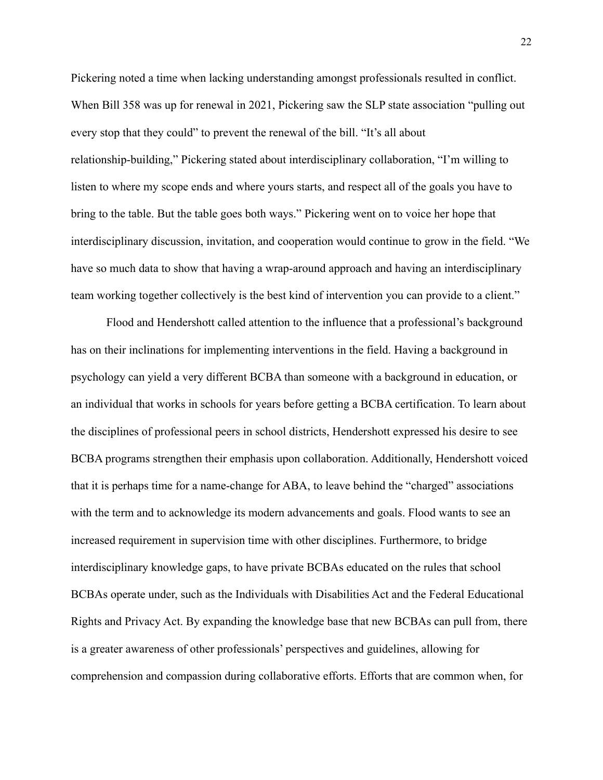Pickering noted a time when lacking understanding amongst professionals resulted in conflict. When Bill 358 was up for renewal in 2021, Pickering saw the SLP state association "pulling out" every stop that they could" to prevent the renewal of the bill. "It's all about relationship-building," Pickering stated about interdisciplinary collaboration, "I'm willing to listen to where my scope ends and where yours starts, and respect all of the goals you have to bring to the table. But the table goes both ways." Pickering went on to voice her hope that interdisciplinary discussion, invitation, and cooperation would continue to grow in the field. "We have so much data to show that having a wrap-around approach and having an interdisciplinary team working together collectively is the best kind of intervention you can provide to a client."

Flood and Hendershott called attention to the influence that a professional's background has on their inclinations for implementing interventions in the field. Having a background in psychology can yield a very different BCBA than someone with a background in education, or an individual that works in schools for years before getting a BCBA certification. To learn about the disciplines of professional peers in school districts, Hendershott expressed his desire to see BCBA programs strengthen their emphasis upon collaboration. Additionally, Hendershott voiced that it is perhaps time for a name-change for ABA, to leave behind the "charged" associations with the term and to acknowledge its modern advancements and goals. Flood wants to see an increased requirement in supervision time with other disciplines. Furthermore, to bridge interdisciplinary knowledge gaps, to have private BCBAs educated on the rules that school BCBAs operate under, such as the Individuals with Disabilities Act and the Federal Educational Rights and Privacy Act. By expanding the knowledge base that new BCBAs can pull from, there is a greater awareness of other professionals' perspectives and guidelines, allowing for comprehension and compassion during collaborative efforts. Efforts that are common when, for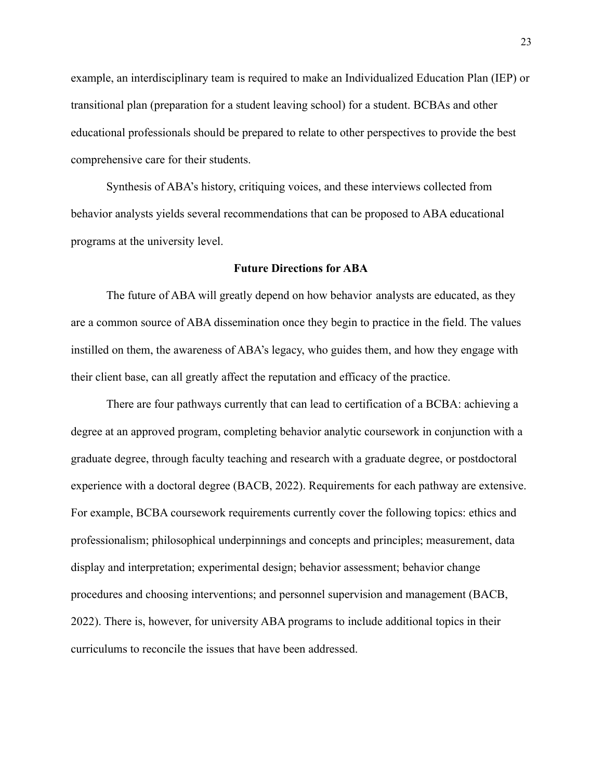example, an interdisciplinary team is required to make an Individualized Education Plan (IEP) or transitional plan (preparation for a student leaving school) for a student. BCBAs and other educational professionals should be prepared to relate to other perspectives to provide the best comprehensive care for their students.

Synthesis of ABA's history, critiquing voices, and these interviews collected from behavior analysts yields several recommendations that can be proposed to ABA educational programs at the university level.

#### **Future Directions for ABA**

The future of ABA will greatly depend on how behavior analysts are educated, as they are a common source of ABA dissemination once they begin to practice in the field. The values instilled on them, the awareness of ABA's legacy, who guides them, and how they engage with their client base, can all greatly affect the reputation and efficacy of the practice.

There are four pathways currently that can lead to certification of a BCBA: achieving a degree at an approved program, completing behavior analytic coursework in conjunction with a graduate degree, through faculty teaching and research with a graduate degree, or postdoctoral experience with a doctoral degree (BACB, 2022). Requirements for each pathway are extensive. For example, BCBA coursework requirements currently cover the following topics: ethics and professionalism; philosophical underpinnings and concepts and principles; measurement, data display and interpretation; experimental design; behavior assessment; behavior change procedures and choosing interventions; and personnel supervision and management (BACB, 2022). There is, however, for university ABA programs to include additional topics in their curriculums to reconcile the issues that have been addressed.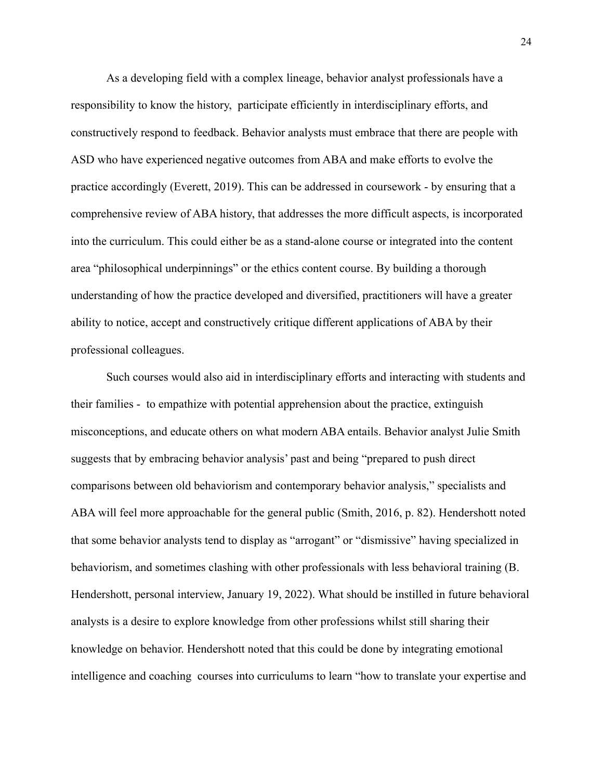As a developing field with a complex lineage, behavior analyst professionals have a responsibility to know the history, participate efficiently in interdisciplinary efforts, and constructively respond to feedback. Behavior analysts must embrace that there are people with ASD who have experienced negative outcomes from ABA and make efforts to evolve the practice accordingly (Everett, 2019). This can be addressed in coursework - by ensuring that a comprehensive review of ABA history, that addresses the more difficult aspects, is incorporated into the curriculum. This could either be as a stand-alone course or integrated into the content area "philosophical underpinnings" or the ethics content course. By building a thorough understanding of how the practice developed and diversified, practitioners will have a greater ability to notice, accept and constructively critique different applications of ABA by their professional colleagues.

Such courses would also aid in interdisciplinary efforts and interacting with students and their families - to empathize with potential apprehension about the practice, extinguish misconceptions, and educate others on what modern ABA entails. Behavior analyst Julie Smith suggests that by embracing behavior analysis' past and being "prepared to push direct comparisons between old behaviorism and contemporary behavior analysis," specialists and ABA will feel more approachable for the general public (Smith, 2016, p. 82). Hendershott noted that some behavior analysts tend to display as "arrogant" or "dismissive" having specialized in behaviorism, and sometimes clashing with other professionals with less behavioral training (B. Hendershott, personal interview, January 19, 2022). What should be instilled in future behavioral analysts is a desire to explore knowledge from other professions whilst still sharing their knowledge on behavior. Hendershott noted that this could be done by integrating emotional intelligence and coaching courses into curriculums to learn "how to translate your expertise and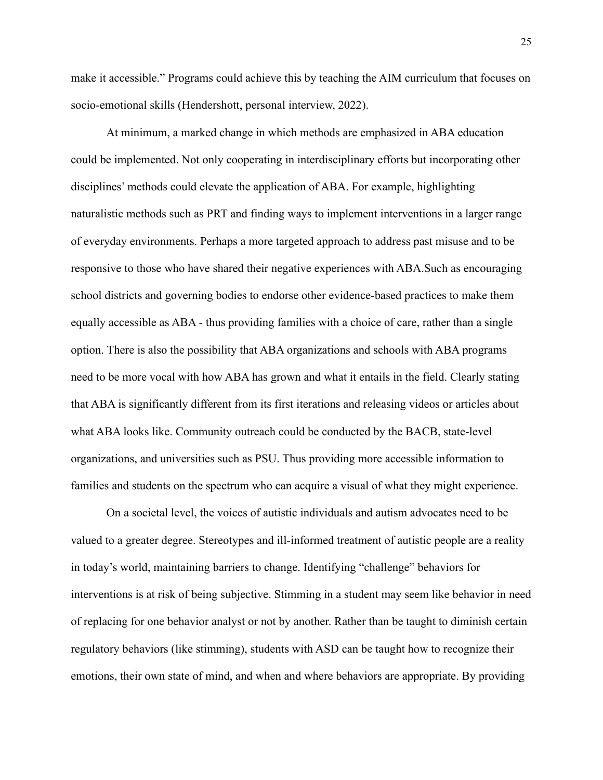make it accessible." Programs could achieve this by teaching the AIM curriculum that focuses on socio-emotional skills (Hendershott, personal interview, 2022).

At minimum, a marked change in which methods are emphasized in ABA education could be implemented. Not only cooperating in interdisciplinary efforts but incorporating other disciplines' methods could elevate the application of ABA. For example, highlighting naturalistic methods such as PRT and finding ways to implement interventions in a larger range of everyday environments. Perhaps a more targeted approach to address past misuse and to be responsive to those who have shared their negative experiences with ABA.Such as encouraging school districts and governing bodies to endorse other evidence-based practices to make them equally accessible as ABA - thus providing families with a choice of care, rather than a single option. There is also the possibility that ABA organizations and schools with ABA programs need to be more vocal with how ABA has grown and what it entails in the field. Clearly stating that ABA is significantly different from its first iterations and releasing videos or articles about what ABA looks like. Community outreach could be conducted by the BACB, state-level organizations, and universities such as PSU. Thus providing more accessible information to families and students on the spectrum who can acquire a visual of what they might experience.

On a societal level, the voices of autistic individuals and autism advocates need to be valued to a greater degree. Stereotypes and ill-informed treatment of autistic people are a reality in today's world, maintaining barriers to change. Identifying "challenge" behaviors for interventions is at risk of being subjective. Stimming in a student may seem like behavior in need of replacing for one behavior analyst or not by another. Rather than be taught to diminish certain regulatory behaviors (like stimming), students with ASD can be taught how to recognize their emotions, their own state of mind, and when and where behaviors are appropriate. By providing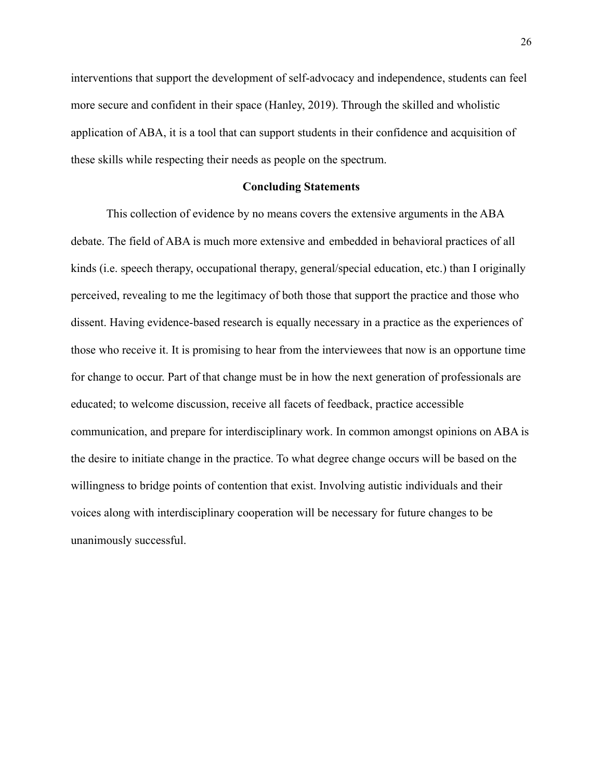interventions that support the development of self-advocacy and independence, students can feel more secure and confident in their space (Hanley, 2019). Through the skilled and wholistic application of ABA, it is a tool that can support students in their confidence and acquisition of these skills while respecting their needs as people on the spectrum.

# **Concluding Statements**

This collection of evidence by no means covers the extensive arguments in the ABA debate. The field of ABA is much more extensive and embedded in behavioral practices of all kinds (i.e. speech therapy, occupational therapy, general/special education, etc.) than I originally perceived, revealing to me the legitimacy of both those that support the practice and those who dissent. Having evidence-based research is equally necessary in a practice as the experiences of those who receive it. It is promising to hear from the interviewees that now is an opportune time for change to occur. Part of that change must be in how the next generation of professionals are educated; to welcome discussion, receive all facets of feedback, practice accessible communication, and prepare for interdisciplinary work. In common amongst opinions on ABA is the desire to initiate change in the practice. To what degree change occurs will be based on the willingness to bridge points of contention that exist. Involving autistic individuals and their voices along with interdisciplinary cooperation will be necessary for future changes to be unanimously successful.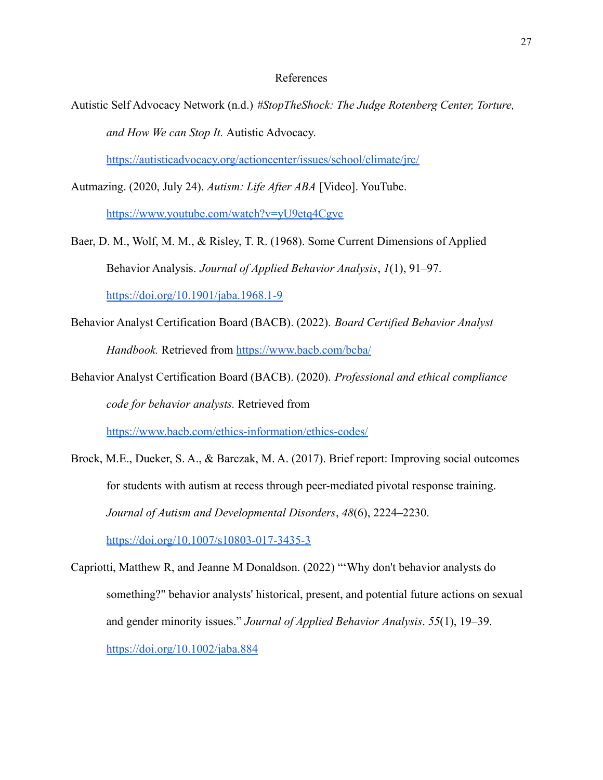# References

Autistic Self Advocacy Network (n.d.) *#StopTheShock: The Judge Rotenberg Center, Torture, and How We can Stop It.* Autistic Advocacy.

<https://autisticadvocacy.org/actioncenter/issues/school/climate/jrc/>

Autmazing. (2020, July 24). *Autism: Life After ABA* [Video]. YouTube.

<https://www.youtube.com/watch?v=yU9etq4Cgyc>

- Baer, D. M., Wolf, M. M., & Risley, T. R. (1968). Some Current Dimensions of Applied Behavior Analysis. *Journal of Applied Behavior Analysis*, *1*(1), 91–97. [https://doi.org/10.1901/jaba.1968.1-9](https://doi.org/10.1901/jaba.1968.1-91)
- Behavior Analyst Certification Board (BACB). (2022). *Board Certified Behavior Analyst Handbook.* Retrieved from <https://www.bacb.com/bcba/>
- Behavior Analyst Certification Board (BACB). (2020). *Professional and ethical compliance code for behavior analysts.* Retrieved from

<https://www.bacb.com/ethics-information/ethics-codes/>

- Brock, M.E., Dueker, S. A., & Barczak, M. A. (2017). Brief report: Improving social outcomes for students with autism at recess through peer-mediated pivotal response training. *Journal of Autism and Developmental Disorders*, *48*(6), 2224–2230. <https://doi.org/10.1007/s10803-017-3435-3>
- Capriotti, Matthew R, and Jeanne M Donaldson. (2022) "'Why don't behavior analysts do something?" behavior analysts' historical, present, and potential future actions on sexual and gender minority issues." *Journal of Applied Behavior Analysis*. *55*(1), 19–39. <https://doi.org/10.1002/jaba.884>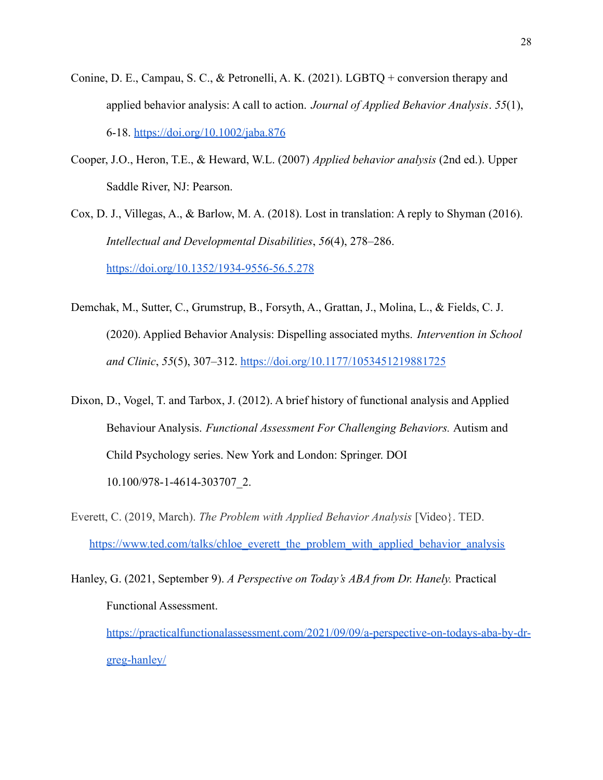- Conine, D. E., Campau, S. C., & Petronelli, A. K. (2021). LGBTQ + conversion therapy and applied behavior analysis: A call to action. *Journal of Applied Behavior Analysis*. *55*(1), 6-18. <https://doi.org/10.1002/jaba.876>
- Cooper, J.O., Heron, T.E., & Heward, W.L. (2007) *Applied behavior analysis* (2nd ed.). Upper Saddle River, NJ: Pearson.

Cox, D. J., Villegas, A., & Barlow, M. A. (2018). Lost in translation: A reply to Shyman (2016). *Intellectual and Developmental Disabilities*, *56*(4), 278–286. <https://doi.org/10.1352/1934-9556-56.5.278>

- Demchak, M., Sutter, C., Grumstrup, B., Forsyth, A., Grattan, J., Molina, L., & Fields, C. J. (2020). Applied Behavior Analysis: Dispelling associated myths. *Intervention in School and Clinic*, *55*(5), 307–312. <https://doi.org/10.1177/1053451219881725>
- Dixon, D., Vogel, T. and Tarbox, J. (2012). A brief history of functional analysis and Applied Behaviour Analysis. *Functional Assessment For Challenging Behaviors.* Autism and Child Psychology series. New York and London: Springer. DOI 10.100/978-1-4614-303707\_2.
- Everett, C. (2019, March). *The Problem with Applied Behavior Analysis* [Video}. TED. [https://www.ted.com/talks/chloe\\_everett\\_the\\_problem\\_with\\_applied\\_behavior\\_analysis](https://www.ted.com/talks/chloe_everett_the_problem_with_applied_behavior_analysis)

Hanley, G. (2021, September 9). *A Perspective on Today's ABA from Dr. Hanely.* Practical Functional Assessment. [https://practicalfunctionalassessment.com/2021/09/09/a-perspective-on-todays-aba-by-dr](https://practicalfunctionalassessment.com/2021/09/09/a-perspective-on-todays-aba-by-dr-greg-hanley/)[greg-hanley/](https://practicalfunctionalassessment.com/2021/09/09/a-perspective-on-todays-aba-by-dr-greg-hanley/)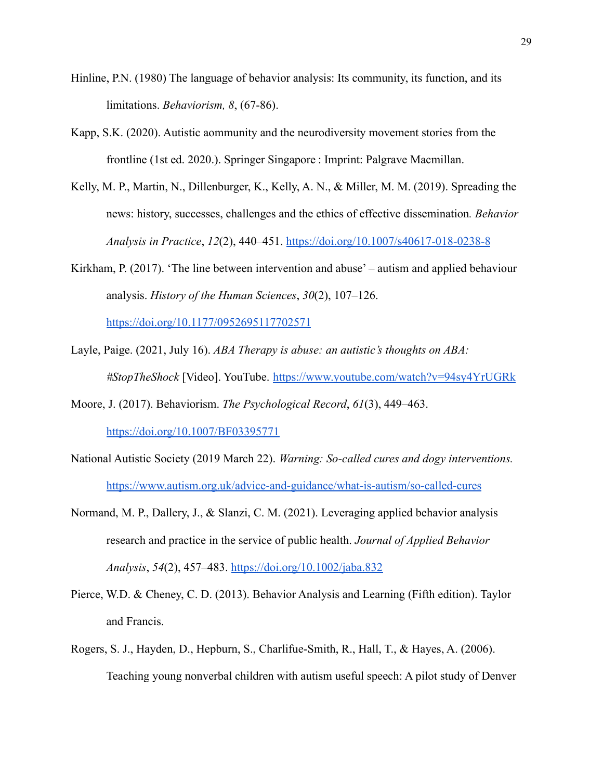- Hinline, P.N. (1980) The language of behavior analysis: Its community, its function, and its limitations. *Behaviorism, 8*, (67-86).
- Kapp, S.K. (2020). Autistic aommunity and the neurodiversity movement stories from the frontline (1st ed. 2020.). Springer Singapore : Imprint: Palgrave Macmillan.
- Kelly, M. P., Martin, N., Dillenburger, K., Kelly, A. N., & Miller, M. M. (2019). Spreading the news: history, successes, challenges and the ethics of effective dissemination*. Behavior Analysis in Practice*, *12*(2), 440–451. <https://doi.org/10.1007/s40617-018-0238-8>
- Kirkham, P. (2017). 'The line between intervention and abuse' autism and applied behaviour analysis. *History of the Human Sciences*, *30*(2), 107–126[.](https://doi.org/10.1177/0952695117702571)

<https://doi.org/10.1177/0952695117702571>

- Layle, Paige. (2021, July 16). *ABA Therapy is abuse: an autistic's thoughts on ABA: #StopTheShock* [Video]. YouTube. <https://www.youtube.com/watch?v=94sy4YrUGRk>
- Moore, J. (2017). Behaviorism. *The Psychological Record*, *61*(3), 449–463[.](https://doi.org/10.1007/BF03395771) <https://doi.org/10.1007/BF03395771>
- National Autistic Society (2019 March 22). *Warning: So-called cures and dogy interventions.* <https://www.autism.org.uk/advice-and-guidance/what-is-autism/so-called-cures>
- Normand, M. P., Dallery, J., & Slanzi, C. M. (2021). Leveraging applied behavior analysis research and practice in the service of public health. *Journal of Applied Behavior Analysis*, *54*(2), 457–483. <https://doi.org/10.1002/jaba.832>
- Pierce, W.D. & Cheney, C. D. (2013). Behavior Analysis and Learning (Fifth edition). Taylor and Francis.
- Rogers, S. J., Hayden, D., Hepburn, S., Charlifue-Smith, R., Hall, T., & Hayes, A. (2006). Teaching young nonverbal children with autism useful speech: A pilot study of Denver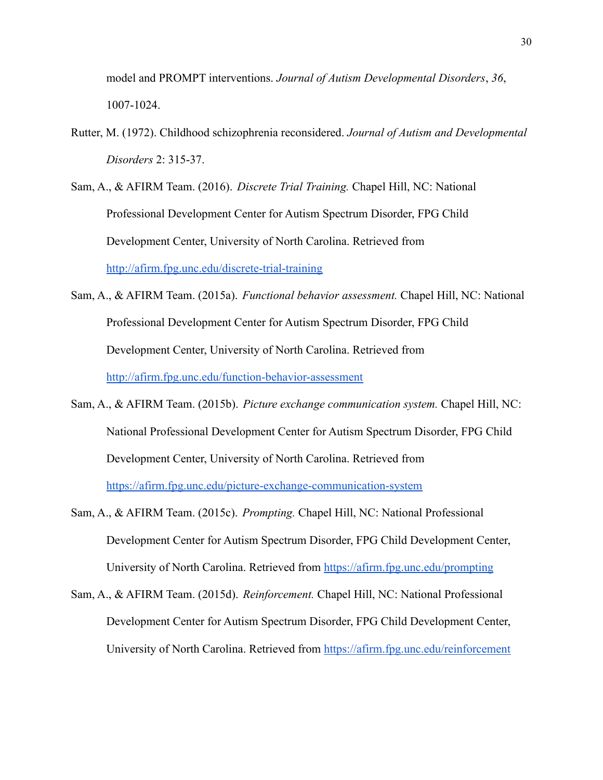model and PROMPT interventions. *Journal of Autism Developmental Disorders*, *36*, 1007-1024.

- Rutter, M. (1972). Childhood schizophrenia reconsidered. *Journal of Autism and Developmental Disorders* 2: 315-37.
- Sam, A., & AFIRM Team. (2016). *Discrete Trial Training.* Chapel Hill, NC: National Professional Development Center for Autism Spectrum Disorder, FPG Child Development Center, University of North Carolina. Retrieved from <http://afirm.fpg.unc.edu/discrete-trial-training>
- Sam, A., & AFIRM Team. (2015a). *Functional behavior assessment.* Chapel Hill, NC: National Professional Development Center for Autism Spectrum Disorder, FPG Child Development Center, University of North Carolina. Retrieved from <http://afirm.fpg.unc.edu/function-behavior-assessment>
- Sam, A., & AFIRM Team. (2015b). *Picture exchange communication system.* Chapel Hill, NC: National Professional Development Center for Autism Spectrum Disorder, FPG Child Development Center, University of North Carolina. Retrieved from <https://afirm.fpg.unc.edu/picture-exchange-communication-system>
- Sam, A., & AFIRM Team. (2015c). *Prompting.* Chapel Hill, NC: National Professional Development Center for Autism Spectrum Disorder, FPG Child Development Center, University of North Carolina. Retrieved from <https://afirm.fpg.unc.edu/prompting>
- Sam, A., & AFIRM Team. (2015d). *Reinforcement.* Chapel Hill, NC: National Professional Development Center for Autism Spectrum Disorder, FPG Child Development Center, University of North Carolina. Retrieved from <https://afirm.fpg.unc.edu/reinforcement>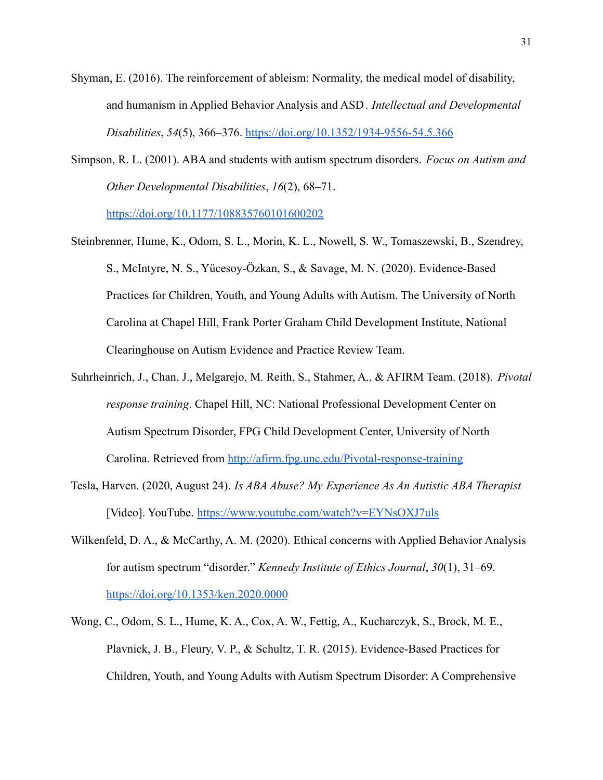Shyman, E. (2016). The reinforcement of ableism: Normality, the medical model of disability, and humanism in Applied Behavior Analysis and ASD *. Intellectual and Developmental Disabilities*, *54*(5), 366–376. <https://doi.org/10.1352/1934-9556-54.5.366>

Simpson, R. L. (2001). ABA and students with autism spectrum disorders. *Focus on Autism and Other Developmental Disabilities*, *16*(2), 68–71.

<https://doi.org/10.1177/108835760101600202>

- Steinbrenner, Hume, K., Odom, S. L., Morin, K. L., Nowell, S. W., Tomaszewski, B., Szendrey, S., McIntyre, N. S., Yücesoy-Özkan, S., & Savage, M. N. (2020). Evidence-Based Practices for Children, Youth, and Young Adults with Autism. The University of North Carolina at Chapel Hill, Frank Porter Graham Child Development Institute, National Clearinghouse on Autism Evidence and Practice Review Team.
- Suhrheinrich, J., Chan, J., Melgarejo, M. Reith, S., Stahmer, A., & AFIRM Team. (2018). *Pivotal response training*. Chapel Hill, NC: National Professional Development Center on Autism Spectrum Disorder, FPG Child Development Center, University of North Carolina. Retrieved from <http://afirm.fpg.unc.edu/Pivotal-response-training>
- Tesla, Harven. (2020, August 24). *Is ABA Abuse? My Experience As An Autistic ABA Therapist* [Video]. YouTube. <https://www.youtube.com/watch?v=EYNsOXJ7uls>
- Wilkenfeld, D. A., & McCarthy, A. M. (2020). Ethical concerns with Applied Behavior Analysis for autism spectrum "disorder." *Kennedy Institute of Ethics Journal*, *30*(1), 31–69[.](https://doi.org/10.1353/ken.2020.0000) <https://doi.org/10.1353/ken.2020.0000>
- Wong, C., Odom, S. L., Hume, K. A., Cox, A. W., Fettig, A., Kucharczyk, S., Brock, M. E., Plavnick, J. B., Fleury, V. P., & Schultz, T. R. (2015). Evidence-Based Practices for Children, Youth, and Young Adults with Autism Spectrum Disorder: A Comprehensive